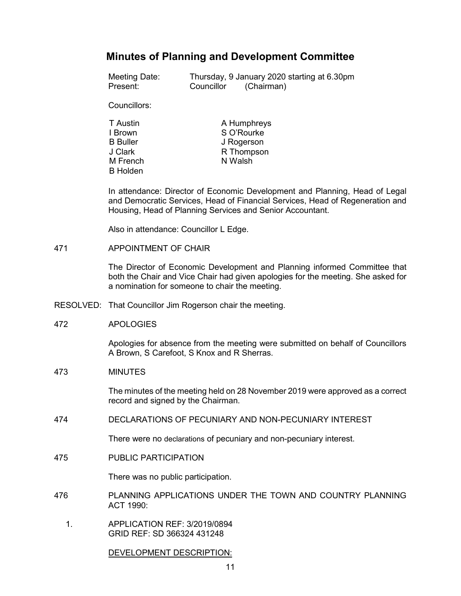# **Minutes of Planning and Development Committee**

| Meeting Date: |            | Thursday, 9 January 2020 starting at 6.30pm |  |
|---------------|------------|---------------------------------------------|--|
| Present:      | Councillor | (Chairman)                                  |  |

Councillors:

| T Austin        | A Humphreys |
|-----------------|-------------|
| I Brown         | S O'Rourke  |
| <b>B</b> Buller | J Rogerson  |
| J Clark         | R Thompson  |
| M French        | N Walsh     |
| <b>B</b> Holden |             |

In attendance: Director of Economic Development and Planning, Head of Legal and Democratic Services, Head of Financial Services, Head of Regeneration and Housing, Head of Planning Services and Senior Accountant.

Also in attendance: Councillor L Edge.

471 APPOINTMENT OF CHAIR

The Director of Economic Development and Planning informed Committee that both the Chair and Vice Chair had given apologies for the meeting. She asked for a nomination for someone to chair the meeting.

RESOLVED: That Councillor Jim Rogerson chair the meeting.

### 472 APOLOGIES

Apologies for absence from the meeting were submitted on behalf of Councillors A Brown, S Carefoot, S Knox and R Sherras.

### 473 MINUTES

The minutes of the meeting held on 28 November 2019 were approved as a correct record and signed by the Chairman.

474 DECLARATIONS OF PECUNIARY AND NON-PECUNIARY INTEREST

There were no declarations of pecuniary and non-pecuniary interest.

475 PUBLIC PARTICIPATION

There was no public participation.

- 476 PLANNING APPLICATIONS UNDER THE TOWN AND COUNTRY PLANNING ACT 1990:
	- 1. APPLICATION REF: 3/2019/0894 GRID REF: SD 366324 431248

DEVELOPMENT DESCRIPTION: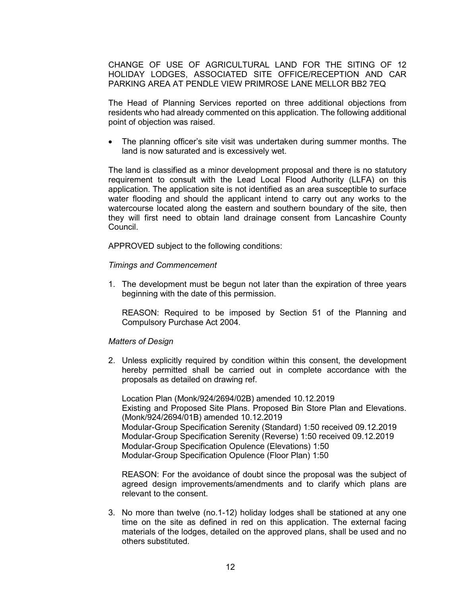CHANGE OF USE OF AGRICULTURAL LAND FOR THE SITING OF 12 HOLIDAY LODGES, ASSOCIATED SITE OFFICE/RECEPTION AND CAR PARKING AREA AT PENDLE VIEW PRIMROSE LANE MELLOR BB2 7EQ

The Head of Planning Services reported on three additional objections from residents who had already commented on this application. The following additional point of objection was raised.

• The planning officer's site visit was undertaken during summer months. The land is now saturated and is excessively wet.

The land is classified as a minor development proposal and there is no statutory requirement to consult with the Lead Local Flood Authority (LLFA) on this application. The application site is not identified as an area susceptible to surface water flooding and should the applicant intend to carry out any works to the watercourse located along the eastern and southern boundary of the site, then they will first need to obtain land drainage consent from Lancashire County Council.

APPROVED subject to the following conditions:

#### *Timings and Commencement*

1. The development must be begun not later than the expiration of three years beginning with the date of this permission.

REASON: Required to be imposed by Section 51 of the Planning and Compulsory Purchase Act 2004.

#### *Matters of Design*

2. Unless explicitly required by condition within this consent, the development hereby permitted shall be carried out in complete accordance with the proposals as detailed on drawing ref.

Location Plan (Monk/924/2694/02B) amended 10.12.2019 Existing and Proposed Site Plans. Proposed Bin Store Plan and Elevations. (Monk/924/2694/01B) amended 10.12.2019 Modular-Group Specification Serenity (Standard) 1:50 received 09.12.2019 Modular-Group Specification Serenity (Reverse) 1:50 received 09.12.2019 Modular-Group Specification Opulence (Elevations) 1:50 Modular-Group Specification Opulence (Floor Plan) 1:50

REASON: For the avoidance of doubt since the proposal was the subject of agreed design improvements/amendments and to clarify which plans are relevant to the consent.

3. No more than twelve (no.1-12) holiday lodges shall be stationed at any one time on the site as defined in red on this application. The external facing materials of the lodges, detailed on the approved plans, shall be used and no others substituted.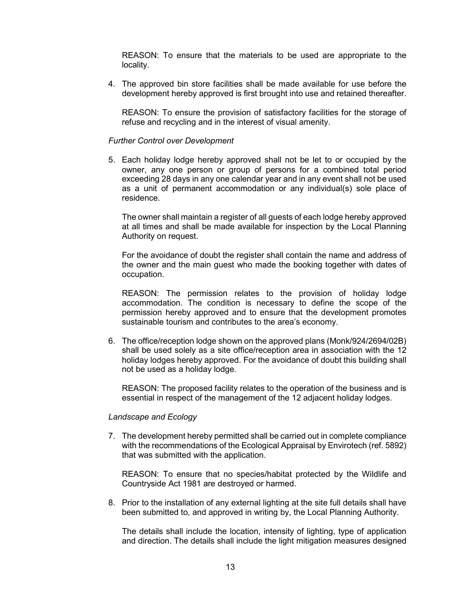REASON: To ensure that the materials to be used are appropriate to the locality.

4. The approved bin store facilities shall be made available for use before the development hereby approved is first brought into use and retained thereafter.

REASON: To ensure the provision of satisfactory facilities for the storage of refuse and recycling and in the interest of visual amenity.

#### *Further Control over Development*

5. Each holiday lodge hereby approved shall not be let to or occupied by the owner, any one person or group of persons for a combined total period exceeding 28 days in any one calendar year and in any event shall not be used as a unit of permanent accommodation or any individual(s) sole place of residence.

The owner shall maintain a register of all guests of each lodge hereby approved at all times and shall be made available for inspection by the Local Planning Authority on request.

For the avoidance of doubt the register shall contain the name and address of the owner and the main guest who made the booking together with dates of occupation.

REASON: The permission relates to the provision of holiday lodge accommodation. The condition is necessary to define the scope of the permission hereby approved and to ensure that the development promotes sustainable tourism and contributes to the area's economy.

6. The office/reception lodge shown on the approved plans (Monk/924/2694/02B) shall be used solely as a site office/reception area in association with the 12 holiday lodges hereby approved. For the avoidance of doubt this building shall not be used as a holiday lodge.

REASON: The proposed facility relates to the operation of the business and is essential in respect of the management of the 12 adjacent holiday lodges.

#### *Landscape and Ecology*

7. The development hereby permitted shall be carried out in complete compliance with the recommendations of the Ecological Appraisal by Envirotech (ref. 5892) that was submitted with the application.

REASON: To ensure that no species/habitat protected by the Wildlife and Countryside Act 1981 are destroyed or harmed.

8. Prior to the installation of any external lighting at the site full details shall have been submitted to, and approved in writing by, the Local Planning Authority.

The details shall include the location, intensity of lighting, type of application and direction. The details shall include the light mitigation measures designed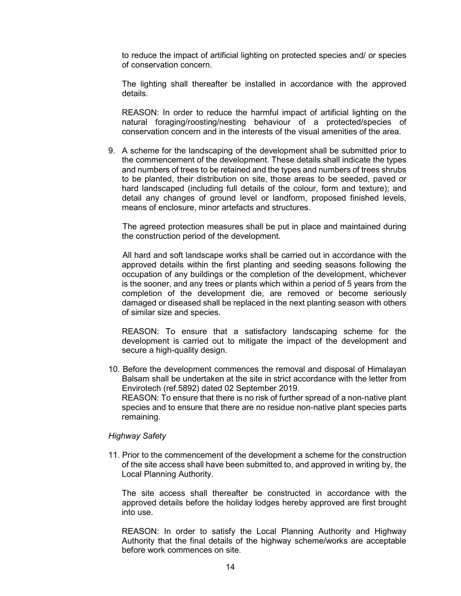to reduce the impact of artificial lighting on protected species and/ or species of conservation concern.

The lighting shall thereafter be installed in accordance with the approved details.

REASON: In order to reduce the harmful impact of artificial lighting on the natural foraging/roosting/nesting behaviour of a protected/species of conservation concern and in the interests of the visual amenities of the area.

9. A scheme for the landscaping of the development shall be submitted prior to the commencement of the development. These details shall indicate the types and numbers of trees to be retained and the types and numbers of trees shrubs to be planted, their distribution on site, those areas to be seeded, paved or hard landscaped (including full details of the colour, form and texture); and detail any changes of ground level or landform, proposed finished levels, means of enclosure, minor artefacts and structures.

 The agreed protection measures shall be put in place and maintained during the construction period of the development.

 All hard and soft landscape works shall be carried out in accordance with the approved details within the first planting and seeding seasons following the occupation of any buildings or the completion of the development, whichever is the sooner, and any trees or plants which within a period of 5 years from the completion of the development die, are removed or become seriously damaged or diseased shall be replaced in the next planting season with others of similar size and species.

REASON: To ensure that a satisfactory landscaping scheme for the development is carried out to mitigate the impact of the development and secure a high-quality design.

10. Before the development commences the removal and disposal of Himalayan Balsam shall be undertaken at the site in strict accordance with the letter from Envirotech (ref.5892) dated 02 September 2019. REASON: To ensure that there is no risk of further spread of a non-native plant species and to ensure that there are no residue non-native plant species parts remaining.

### *Highway Safety*

11. Prior to the commencement of the development a scheme for the construction of the site access shall have been submitted to, and approved in writing by, the Local Planning Authority.

The site access shall thereafter be constructed in accordance with the approved details before the holiday lodges hereby approved are first brought into use.

REASON: In order to satisfy the Local Planning Authority and Highway Authority that the final details of the highway scheme/works are acceptable before work commences on site.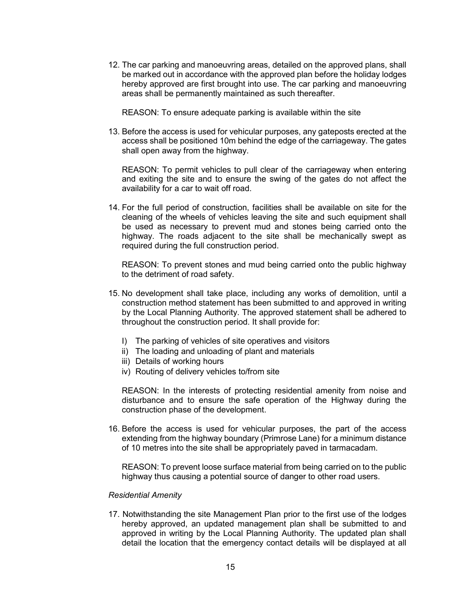12. The car parking and manoeuvring areas, detailed on the approved plans, shall be marked out in accordance with the approved plan before the holiday lodges hereby approved are first brought into use. The car parking and manoeuvring areas shall be permanently maintained as such thereafter.

REASON: To ensure adequate parking is available within the site

13. Before the access is used for vehicular purposes, any gateposts erected at the access shall be positioned 10m behind the edge of the carriageway. The gates shall open away from the highway.

REASON: To permit vehicles to pull clear of the carriageway when entering and exiting the site and to ensure the swing of the gates do not affect the availability for a car to wait off road.

14. For the full period of construction, facilities shall be available on site for the cleaning of the wheels of vehicles leaving the site and such equipment shall be used as necessary to prevent mud and stones being carried onto the highway. The roads adjacent to the site shall be mechanically swept as required during the full construction period.

REASON: To prevent stones and mud being carried onto the public highway to the detriment of road safety.

- 15. No development shall take place, including any works of demolition, until a construction method statement has been submitted to and approved in writing by the Local Planning Authority. The approved statement shall be adhered to throughout the construction period. It shall provide for:
	- I) The parking of vehicles of site operatives and visitors
	- ii) The loading and unloading of plant and materials
	- iii) Details of working hours
	- iv) Routing of delivery vehicles to/from site

REASON: In the interests of protecting residential amenity from noise and disturbance and to ensure the safe operation of the Highway during the construction phase of the development.

16. Before the access is used for vehicular purposes, the part of the access extending from the highway boundary (Primrose Lane) for a minimum distance of 10 metres into the site shall be appropriately paved in tarmacadam.

REASON: To prevent loose surface material from being carried on to the public highway thus causing a potential source of danger to other road users.

#### *Residential Amenity*

17. Notwithstanding the site Management Plan prior to the first use of the lodges hereby approved, an updated management plan shall be submitted to and approved in writing by the Local Planning Authority. The updated plan shall detail the location that the emergency contact details will be displayed at all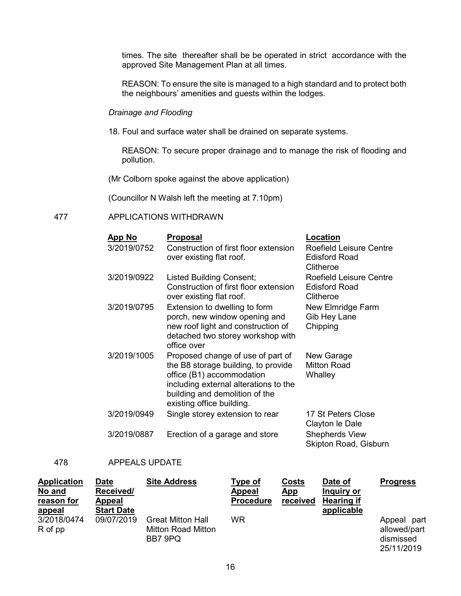times. The site thereafter shall be be operated in strict accordance with the approved Site Management Plan at all times.

REASON: To ensure the site is managed to a high standard and to protect both the neighbours' amenities and guests within the lodges.

### *Drainage and Flooding*

18. Foul and surface water shall be drained on separate systems.

REASON: To secure proper drainage and to manage the risk of flooding and pollution.

(Mr Colborn spoke against the above application)

(Councillor N Walsh left the meeting at 7.10pm)

### 477 APPLICATIONS WITHDRAWN

| <b>App No</b> | <b>Proposal</b>                                                                                                                                                                                               | Location                                                            |
|---------------|---------------------------------------------------------------------------------------------------------------------------------------------------------------------------------------------------------------|---------------------------------------------------------------------|
| 3/2019/0752   | Construction of first floor extension<br>over existing flat roof.                                                                                                                                             | Roefield Leisure Centre<br><b>Edisford Road</b><br>Clitheroe        |
| 3/2019/0922   | <b>Listed Building Consent;</b><br>Construction of first floor extension<br>over existing flat roof.                                                                                                          | <b>Roefield Leisure Centre</b><br><b>Edisford Road</b><br>Clitheroe |
| 3/2019/0795   | Extension to dwelling to form<br>porch, new window opening and<br>new roof light and construction of<br>detached two storey workshop with<br>office over                                                      | New Elmridge Farm<br>Gib Hey Lane<br>Chipping                       |
| 3/2019/1005   | Proposed change of use of part of<br>the B8 storage building, to provide<br>office (B1) accommodation<br>including external alterations to the<br>building and demolition of the<br>existing office building. | New Garage<br><b>Mitton Road</b><br>Whalley                         |
| 3/2019/0949   | Single storey extension to rear                                                                                                                                                                               | 17 St Peters Close<br>Clayton le Dale                               |
| 3/2019/0887   | Erection of a garage and store                                                                                                                                                                                | <b>Shepherds View</b><br>Skipton Road, Gisburn                      |

### 478 APPEALS UPDATE

| <b>Application</b> | <b>Date</b>       | <b>Site Address</b>       | Type of          | Costs      | Date of           | <b>Progress</b> |
|--------------------|-------------------|---------------------------|------------------|------------|-------------------|-----------------|
| No and             | Received/         |                           | <b>Appeal</b>    | <u>App</u> | Inquiry or        |                 |
| reason for         | <b>Appeal</b>     |                           | <b>Procedure</b> | received   | <b>Hearing if</b> |                 |
| <u>appeal</u>      | <b>Start Date</b> |                           |                  |            | applicable        |                 |
| 3/2018/0474        | 09/07/2019        | <b>Great Mitton Hall</b>  | <b>WR</b>        |            |                   | part<br>Appeal  |
| R of pp            |                   | <b>Mitton Road Mitton</b> |                  |            |                   | allowed/part    |
|                    |                   | BB7 9PQ                   |                  |            |                   | dismissed       |
|                    |                   |                           |                  |            |                   | 25/11/2019      |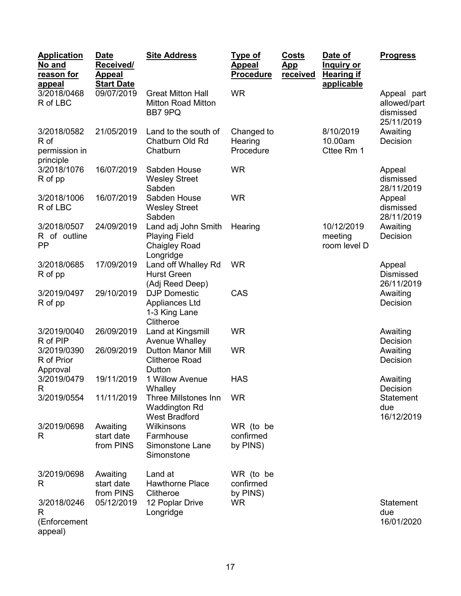| <b>Application</b><br>No and<br>reason for<br>appeal | <b>Date</b><br>Received/<br><b>Appeal</b><br><b>Start Date</b> | <b>Site Address</b>                                                              | <u>Type of</u><br><b>Appeal</b><br><b>Procedure</b> | <b>Costs</b><br><u>App</u><br>received | Date of<br><u>Inquiry or</u><br><b>Hearing if</b><br>applicable | <b>Progress</b>                                        |
|------------------------------------------------------|----------------------------------------------------------------|----------------------------------------------------------------------------------|-----------------------------------------------------|----------------------------------------|-----------------------------------------------------------------|--------------------------------------------------------|
| 3/2018/0468<br>R of LBC                              | 09/07/2019                                                     | <b>Great Mitton Hall</b><br><b>Mitton Road Mitton</b><br>BB7 9PQ                 | <b>WR</b>                                           |                                        |                                                                 | Appeal part<br>allowed/part<br>dismissed<br>25/11/2019 |
| 3/2018/0582<br>R of<br>permission in<br>principle    | 21/05/2019                                                     | Land to the south of<br>Chatburn Old Rd<br>Chatburn                              | Changed to<br>Hearing<br>Procedure                  |                                        | 8/10/2019<br>10.00am<br>Cttee Rm 1                              | Awaiting<br>Decision                                   |
| 3/2018/1076<br>R of pp                               | 16/07/2019                                                     | Sabden House<br><b>Wesley Street</b><br>Sabden                                   | <b>WR</b>                                           |                                        |                                                                 | Appeal<br>dismissed<br>28/11/2019                      |
| 3/2018/1006<br>R of LBC                              | 16/07/2019                                                     | Sabden House<br><b>Wesley Street</b><br>Sabden                                   | <b>WR</b>                                           |                                        |                                                                 | Appeal<br>dismissed<br>28/11/2019                      |
| 3/2018/0507<br>R of outline<br>PP                    | 24/09/2019                                                     | Land adj John Smith<br><b>Playing Field</b><br><b>Chaigley Road</b><br>Longridge | Hearing                                             |                                        | 10/12/2019<br>meeting<br>room level D                           | Awaiting<br>Decision                                   |
| 3/2018/0685<br>R of pp                               | 17/09/2019                                                     | Land off Whalley Rd<br><b>Hurst Green</b><br>(Adj Reed Deep)                     | <b>WR</b>                                           |                                        |                                                                 | Appeal<br><b>Dismissed</b><br>26/11/2019               |
| 3/2019/0497<br>R of pp                               | 29/10/2019                                                     | <b>DJP Domestic</b><br>Appliances Ltd<br>1-3 King Lane<br>Clitheroe              | CAS                                                 |                                        |                                                                 | Awaiting<br>Decision                                   |
| 3/2019/0040<br>R of PIP                              | 26/09/2019                                                     | Land at Kingsmill<br>Avenue Whalley                                              | <b>WR</b>                                           |                                        |                                                                 | Awaiting<br>Decision                                   |
| 3/2019/0390<br>R of Prior<br>Approval                | 26/09/2019                                                     | <b>Dutton Manor Mill</b><br><b>Clitheroe Road</b><br>Dutton                      | <b>WR</b>                                           |                                        |                                                                 | Awaiting<br>Decision                                   |
| 3/2019/0479<br>R                                     | 19/11/2019                                                     | 1 Willow Avenue<br>Whalley                                                       | <b>HAS</b>                                          |                                        |                                                                 | Awaiting<br>Decision                                   |
| 3/2019/0554                                          | 11/11/2019                                                     | <b>Three Millstones Inn</b><br><b>Waddington Rd</b><br><b>West Bradford</b>      | <b>WR</b>                                           |                                        |                                                                 | <b>Statement</b><br>due<br>16/12/2019                  |
| 3/2019/0698<br>R                                     | Awaiting<br>start date<br>from PINS                            | Wilkinsons<br>Farmhouse<br>Simonstone Lane<br>Simonstone                         | WR (to be<br>confirmed<br>by PINS)                  |                                        |                                                                 |                                                        |
| 3/2019/0698<br>R                                     | Awaiting<br>start date<br>from PINS                            | Land at<br><b>Hawthorne Place</b><br>Clitheroe                                   | WR (to be<br>confirmed<br>by PINS)                  |                                        |                                                                 |                                                        |
| 3/2018/0246<br>R<br>(Enforcement<br>appeal)          | 05/12/2019                                                     | 12 Poplar Drive<br>Longridge                                                     | <b>WR</b>                                           |                                        |                                                                 | Statement<br>due<br>16/01/2020                         |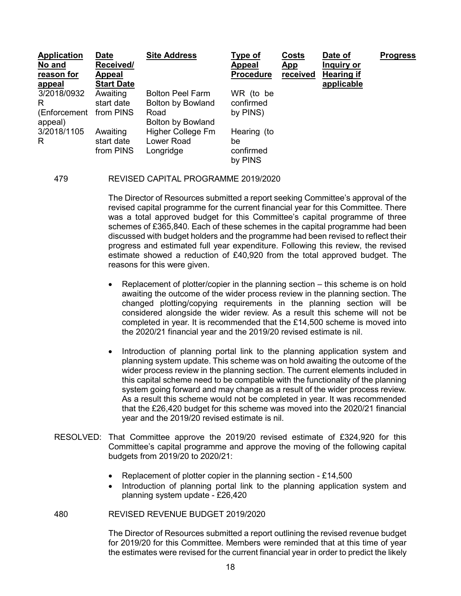| <b>Application</b><br>No and<br>reason for<br><u>appeal</u> | <b>Date</b><br>Received/<br><b>Appeal</b><br><b>Start Date</b> | <b>Site Address</b>                          | Type of<br><b>Appeal</b><br><b>Procedure</b> | <b>Costs</b><br><u>App</u><br>received | Date of<br>Inquiry or<br><b>Hearing if</b><br>applicable | <b>Progress</b> |
|-------------------------------------------------------------|----------------------------------------------------------------|----------------------------------------------|----------------------------------------------|----------------------------------------|----------------------------------------------------------|-----------------|
| 3/2018/0932<br>R                                            | Awaiting<br>start date                                         | <b>Bolton Peel Farm</b><br>Bolton by Bowland | WR (to be<br>confirmed                       |                                        |                                                          |                 |
| (Enforcement<br>appeal)                                     | from PINS                                                      | Road<br>Bolton by Bowland                    | by PINS)                                     |                                        |                                                          |                 |
| 3/2018/1105                                                 | Awaiting                                                       | Higher College Fm                            | Hearing (to                                  |                                        |                                                          |                 |
| R                                                           | start date<br>from PINS                                        | Lower Road<br>Longridge                      | be<br>confirmed                              |                                        |                                                          |                 |
|                                                             |                                                                |                                              | by PINS                                      |                                        |                                                          |                 |

#### 479 REVISED CAPITAL PROGRAMME 2019/2020

The Director of Resources submitted a report seeking Committee's approval of the revised capital programme for the current financial year for this Committee. There was a total approved budget for this Committee's capital programme of three schemes of £365,840. Each of these schemes in the capital programme had been discussed with budget holders and the programme had been revised to reflect their progress and estimated full year expenditure. Following this review, the revised estimate showed a reduction of £40,920 from the total approved budget. The reasons for this were given.

- Replacement of plotter/copier in the planning section this scheme is on hold awaiting the outcome of the wider process review in the planning section. The changed plotting/copying requirements in the planning section will be considered alongside the wider review. As a result this scheme will not be completed in year. It is recommended that the £14,500 scheme is moved into the 2020/21 financial year and the 2019/20 revised estimate is nil.
- Introduction of planning portal link to the planning application system and planning system update. This scheme was on hold awaiting the outcome of the wider process review in the planning section. The current elements included in this capital scheme need to be compatible with the functionality of the planning system going forward and may change as a result of the wider process review. As a result this scheme would not be completed in year. It was recommended that the £26,420 budget for this scheme was moved into the 2020/21 financial year and the 2019/20 revised estimate is nil.
- RESOLVED: That Committee approve the 2019/20 revised estimate of £324,920 for this Committee's capital programme and approve the moving of the following capital budgets from 2019/20 to 2020/21:
	- Replacement of plotter copier in the planning section £14,500
	- Introduction of planning portal link to the planning application system and planning system update - £26,420

#### 480 REVISED REVENUE BUDGET 2019/2020

The Director of Resources submitted a report outlining the revised revenue budget for 2019/20 for this Committee. Members were reminded that at this time of year the estimates were revised for the current financial year in order to predict the likely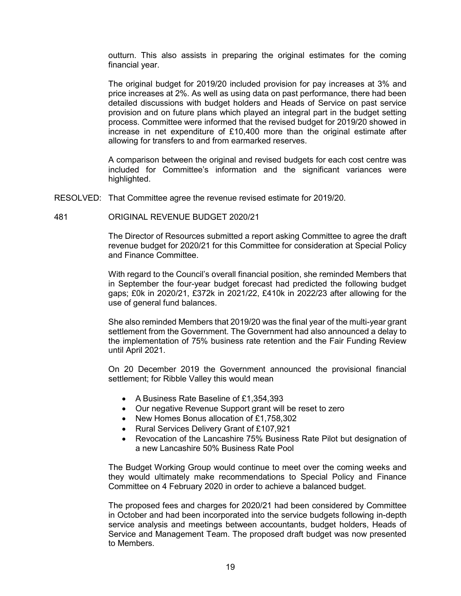outturn. This also assists in preparing the original estimates for the coming financial year.

The original budget for 2019/20 included provision for pay increases at 3% and price increases at 2%. As well as using data on past performance, there had been detailed discussions with budget holders and Heads of Service on past service provision and on future plans which played an integral part in the budget setting process. Committee were informed that the revised budget for 2019/20 showed in increase in net expenditure of £10,400 more than the original estimate after allowing for transfers to and from earmarked reserves.

A comparison between the original and revised budgets for each cost centre was included for Committee's information and the significant variances were highlighted.

- RESOLVED: That Committee agree the revenue revised estimate for 2019/20.
- 481 ORIGINAL REVENUE BUDGET 2020/21

The Director of Resources submitted a report asking Committee to agree the draft revenue budget for 2020/21 for this Committee for consideration at Special Policy and Finance Committee.

With regard to the Council's overall financial position, she reminded Members that in September the four-year budget forecast had predicted the following budget gaps; £0k in 2020/21, £372k in 2021/22, £410k in 2022/23 after allowing for the use of general fund balances.

She also reminded Members that 2019/20 was the final year of the multi-year grant settlement from the Government. The Government had also announced a delay to the implementation of 75% business rate retention and the Fair Funding Review until April 2021.

On 20 December 2019 the Government announced the provisional financial settlement; for Ribble Valley this would mean

- A Business Rate Baseline of £1,354,393
- Our negative Revenue Support grant will be reset to zero
- New Homes Bonus allocation of £1,758,302
- Rural Services Delivery Grant of £107,921
- Revocation of the Lancashire 75% Business Rate Pilot but designation of a new Lancashire 50% Business Rate Pool

The Budget Working Group would continue to meet over the coming weeks and they would ultimately make recommendations to Special Policy and Finance Committee on 4 February 2020 in order to achieve a balanced budget.

The proposed fees and charges for 2020/21 had been considered by Committee in October and had been incorporated into the service budgets following in-depth service analysis and meetings between accountants, budget holders, Heads of Service and Management Team. The proposed draft budget was now presented to Members.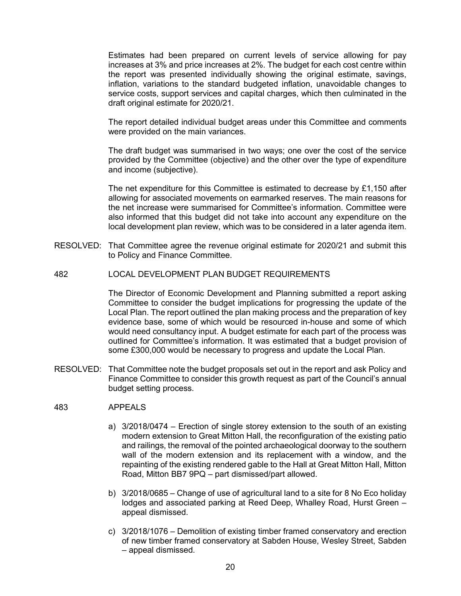Estimates had been prepared on current levels of service allowing for pay increases at 3% and price increases at 2%. The budget for each cost centre within the report was presented individually showing the original estimate, savings, inflation, variations to the standard budgeted inflation, unavoidable changes to service costs, support services and capital charges, which then culminated in the draft original estimate for 2020/21.

The report detailed individual budget areas under this Committee and comments were provided on the main variances.

The draft budget was summarised in two ways; one over the cost of the service provided by the Committee (objective) and the other over the type of expenditure and income (subjective).

The net expenditure for this Committee is estimated to decrease by £1,150 after allowing for associated movements on earmarked reserves. The main reasons for the net increase were summarised for Committee's information. Committee were also informed that this budget did not take into account any expenditure on the local development plan review, which was to be considered in a later agenda item.

- RESOLVED: That Committee agree the revenue original estimate for 2020/21 and submit this to Policy and Finance Committee.
- 482 LOCAL DEVELOPMENT PLAN BUDGET REQUIREMENTS

The Director of Economic Development and Planning submitted a report asking Committee to consider the budget implications for progressing the update of the Local Plan. The report outlined the plan making process and the preparation of key evidence base, some of which would be resourced in-house and some of which would need consultancy input. A budget estimate for each part of the process was outlined for Committee's information. It was estimated that a budget provision of some £300,000 would be necessary to progress and update the Local Plan.

RESOLVED: That Committee note the budget proposals set out in the report and ask Policy and Finance Committee to consider this growth request as part of the Council's annual budget setting process.

### 483 APPEALS

- a) 3/2018/0474 Erection of single storey extension to the south of an existing modern extension to Great Mitton Hall, the reconfiguration of the existing patio and railings, the removal of the pointed archaeological doorway to the southern wall of the modern extension and its replacement with a window, and the repainting of the existing rendered gable to the Hall at Great Mitton Hall, Mitton Road, Mitton BB7 9PQ – part dismissed/part allowed.
- b) 3/2018/0685 Change of use of agricultural land to a site for 8 No Eco holiday lodges and associated parking at Reed Deep, Whalley Road, Hurst Green – appeal dismissed.
- c) 3/2018/1076 Demolition of existing timber framed conservatory and erection of new timber framed conservatory at Sabden House, Wesley Street, Sabden – appeal dismissed.